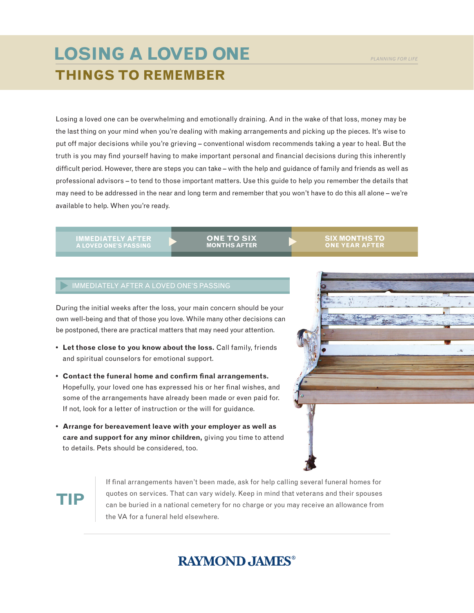## **THINGS TO REMEMBER LOSING A LOVED ONE**

Losing a loved one can be overwhelming and emotionally draining. And in the wake of that loss, money may be the last thing on your mind when you're dealing with making arrangements and picking up the pieces. It's wise to put off major decisions while you're grieving – conventional wisdom recommends taking a year to heal. But the truth is you may find yourself having to make important personal and financial decisions during this inherently difficult period. However, there are steps you can take – with the help and guidance of family and friends as well as professional advisors – to tend to those important matters. Use this guide to help you remember the details that may need to be addressed in the near and long term and remember that you won't have to do this all alone – we're available to help. When you're ready.

**IMMEDIATELY AFTER**

**ONE TO SIX MONTHS AFTER**

#### **SIX MONTHS TO ONE YEAR AFTER**

### IMMEDIATELY AFTER A LOVED ONE'S PASSING

During the initial weeks after the loss, your main concern should be your own well-being and that of those you love. While many other decisions can be postponed, there are practical matters that may need your attention.

- **Let those close to you know about the loss.** Call family, friends and spiritual counselors for emotional support.
- **Contact the funeral home and confirm final arrangements.** Hopefully, your loved one has expressed his or her final wishes, and some of the arrangements have already been made or even paid for. If not, look for a letter of instruction or the will for guidance.
- **Arrange for bereavement leave with your employer as well as care and support for any minor children,** giving you time to attend to details. Pets should be considered, too.



# **TIP**

If final arrangements haven't been made, ask for help calling several funeral homes for quotes on services. That can vary widely. Keep in mind that veterans and their spouses can be buried in a national cemetery for no charge or you may receive an allowance from the VA for a funeral held elsewhere.

## **RAYMOND, JAMES®**

#### *PLANNING FOR LIFE*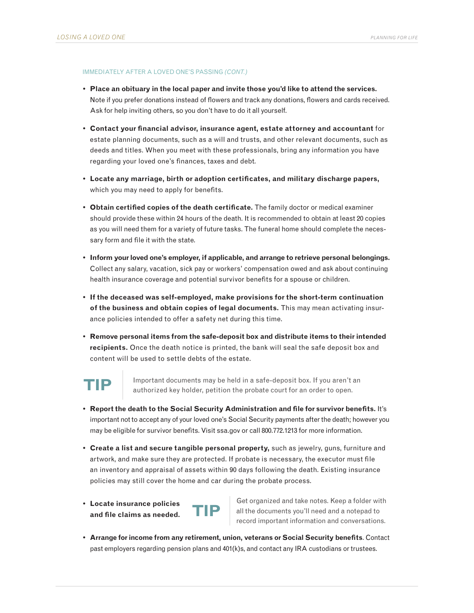### IMMEDIATELY AFTER A LOVED ONE'S PASSING *(CONT.)*

- **Place an obituary in the local paper and invite those you'd like to attend the services.**  Note if you prefer donations instead of flowers and track any donations, flowers and cards received. Ask for help inviting others, so you don't have to do it all yourself.
- **Contact your financial advisor, insurance agent, estate attorney and accountant** for estate planning documents, such as a will and trusts, and other relevant documents, such as deeds and titles. When you meet with these professionals, bring any information you have regarding your loved one's finances, taxes and debt.
- **Locate any marriage, birth or adoption certificates, and military discharge papers,** which you may need to apply for benefits.
- **Obtain certified copies of the death certificate.** The family doctor or medical examiner should provide these within 24 hours of the death. It is recommended to obtain at least 20 copies as you will need them for a variety of future tasks. The funeral home should complete the necessary form and file it with the state.
- **Inform your loved one's employer, if applicable, and arrange to retrieve personal belongings.**  Collect any salary, vacation, sick pay or workers' compensation owed and ask about continuing health insurance coverage and potential survivor benefits for a spouse or children.
- **If the deceased was self-employed, make provisions for the short-term continuation of the business and obtain copies of legal documents.** This may mean activating insurance policies intended to offer a safety net during this time.
- **Remove personal items from the safe-deposit box and distribute items to their intended recipients.** Once the death notice is printed, the bank will seal the safe deposit box and content will be used to settle debts of the estate.



**TIP** Important documents may be held in a safe-deposit box. If you aren't an authorized key holder, petition the probate court for an order to open.

- **Report the death to the Social Security Administration and file for survivor benefits.** It's important not to accept any of your loved one's Social Security payments after the death; however you may be eligible for survivor benefits. Visit ssa.gov or call 800.772.1213 for more information.
- **Create a list and secure tangible personal property,** such as jewelry, guns, furniture and artwork, and make sure they are protected. If probate is necessary, the executor must file an inventory and appraisal of assets within 90 days following the death. Existing insurance policies may still cover the home and car during the probate process.
- **Locate insurance policies and file claims as needed. TIP**

Get organized and take notes. Keep a folder with all the documents you'll need and a notepad to record important information and conversations.

**• Arrange for income from any retirement, union, veterans or Social Security benefits**. Contact past employers regarding pension plans and 401(k)s, and contact any IRA custodians or trustees.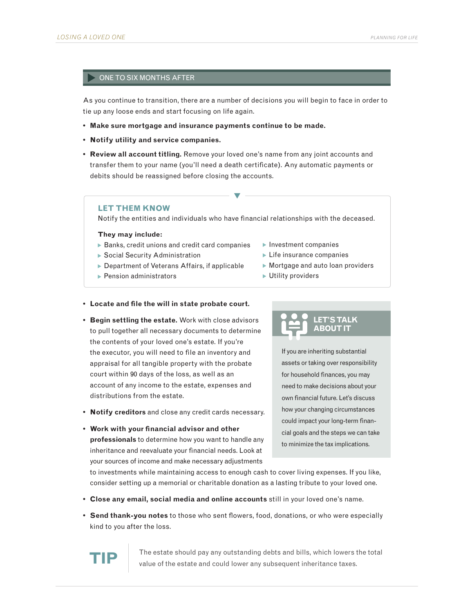### ONE TO SIX MONTHS AFTER

As you continue to transition, there are a number of decisions you will begin to face in order to tie up any loose ends and start focusing on life again.

- **Make sure mortgage and insurance payments continue to be made.**
- **• Notify utility and service companies.**
- **Review all account titling.** Remove your loved one's name from any joint accounts and transfer them to your name (you'll need a death certificate). Any automatic payments or debits should be reassigned before closing the accounts.

### **LET THEM KNOW**

Notify the entities and individuals who have financial relationships with the deceased.

 $\blacktriangledown$ 

### **They may include:**

- $\triangleright$  Banks, credit unions and credit card companies
- ▶ Social Security Administration
- ▶ Department of Veterans Affairs, if applicable
- $\blacktriangleright$  Pension administrators
- $\blacktriangleright$  Investment companies
- $\blacktriangleright$  Life insurance companies
- $\blacktriangleright$  Mortgage and auto loan providers
- ▶ Utility providers

### **• Locate and file the will in state probate court.**

- **Begin settling the estate.** Work with close advisors to pull together all necessary documents to determine the contents of your loved one's estate. If you're the executor, you will need to file an inventory and appraisal for all tangible property with the probate court within 90 days of the loss, as well as an account of any income to the estate, expenses and distributions from the estate.
- **• Notify creditors** and close any credit cards necessary.
- **Work with your financial advisor and other professionals** to determine how you want to handle any inheritance and reevaluate your financial needs. Look at your sources of income and make necessary adjustments

### **LET'S TALK ABOUT IT**

If you are inheriting substantial assets or taking over responsibility for household finances, you may need to make decisions about your own financial future. Let's discuss how your changing circumstances could impact your long-term financial goals and the steps we can take to minimize the tax implications.

to investments while maintaining access to enough cash to cover living expenses. If you like, consider setting up a memorial or charitable donation as a lasting tribute to your loved one.

- **• Close any email, social media and online accounts** still in your loved one's name.
- **Send thank-you notes** to those who sent flowers, food, donations, or who were especially kind to you after the loss.



The estate should pay any outstanding debts and bills, which lowers the total value of the estate and could lower any subsequent inheritance taxes.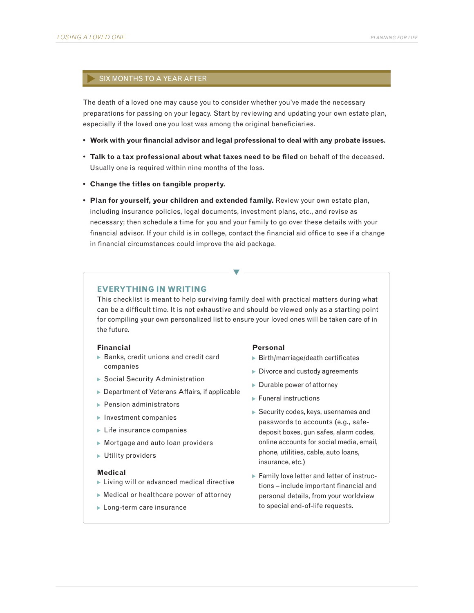### SIX MONTHS TO A YEAR AFTER

The death of a loved one may cause you to consider whether you've made the necessary preparations for passing on your legacy. Start by reviewing and updating your own estate plan, especially if the loved one you lost was among the original beneficiaries.

- **Work with your financial advisor and legal professional to deal with any probate issues.**
- **Talk to a tax professional about what taxes need to be filed** on behalf of the deceased. Usually one is required within nine months of the loss.
- **• Change the titles on tangible property.**
- **Plan for yourself, your children and extended family.** Review your own estate plan, including insurance policies, legal documents, investment plans, etc., and revise as necessary; then schedule a time for you and your family to go over these details with your financial advisor. If your child is in college, contact the financial aid office to see if a change in financial circumstances could improve the aid package.

### **EVERYTHING IN WRITING**

This checklist is meant to help surviving family deal with practical matters during what can be a difficult time. It is not exhaustive and should be viewed only as a starting point for compiling your own personalized list to ensure your loved ones will be taken care of in the future.

 $\blacktriangledown$ 

### **Financial**

- $\triangleright$  Banks, credit unions and credit card companies
- Social Security Administration
- ▶ Department of Veterans Affairs, if applicable
- $\blacktriangleright$  Pension administrators
- $\blacktriangleright$  Investment companies
- $\blacktriangleright$  Life insurance companies
- Mortgage and auto loan providers
- Utility providers

### **Medical**

- **Living will or advanced medical directive**
- Medical or healthcare power of attorney
- **Long-term care insurance**

#### **Personal**

- Birth/marriage/death certificates
- Divorce and custody agreements
- ▶ Durable power of attorney
- $\blacktriangleright$  Funeral instructions
- Security codes, keys, usernames and passwords to accounts (e.g., safedeposit boxes, gun safes, alarm codes, online accounts for social media, email, phone, utilities, cable, auto loans, insurance, etc.)
- Family love letter and letter of instructions – include important financial and personal details, from your worldview to special end-of-life requests.